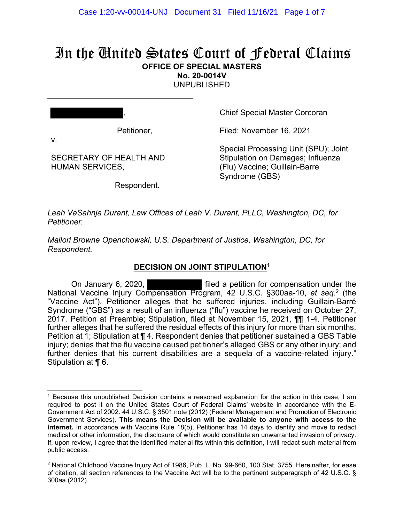# In the United States Court of Federal Claims **OFFICE OF SPECIAL MASTERS**

**No. 20-0014V** 

UNPUBLISHED

| ,                                                 |  |
|---------------------------------------------------|--|
| Petitioner,<br>v.                                 |  |
| SECRETARY OF HEALTH AND<br><b>HUMAN SERVICES,</b> |  |

Respondent.

Chief Special Master Corcoran

Filed: November 16, 2021

Special Processing Unit (SPU); Joint Stipulation on Damages; Influenza (Flu) Vaccine; Guillain-Barre Syndrome (GBS)

*Leah VaSahnja Durant, Law Offices of Leah V. Durant, PLLC, Washington, DC, for Petitioner.* 

*Mallori Browne Openchowski, U.S. Department of Justice, Washington, DC, for Respondent.* 

## **DECISION ON JOINT STIPULATION**<sup>1</sup>

On January 6, 2020, **Exercise 1** filed a petition for compensation under the National Vaccine Injury Compensation Program, 42 U.S.C. §300aa-10, *et seq.*2 (the "Vaccine Act"). Petitioner alleges that he suffered injuries, including Guillain-Barré Syndrome ("GBS") as a result of an influenza ("flu") vaccine he received on October 27, 2017. Petition at Preamble; Stipulation, filed at November 15, 2021, ¶¶ 1-4. Petitioner further alleges that he suffered the residual effects of this injury for more than six months. Petition at 1; Stipulation at ¶ 4. Respondent denies that petitioner sustained a GBS Table injury; denies that the flu vaccine caused petitioner's alleged GBS or any other injury; and further denies that his current disabilities are a sequela of a vaccine-related injury." Stipulation at ¶ 6.

<sup>1</sup> Because this unpublished Decision contains a reasoned explanation for the action in this case, I am required to post it on the United States Court of Federal Claims' website in accordance with the E-Government Act of 2002. 44 U.S.C. § 3501 note (2012) (Federal Management and Promotion of Electronic Government Services). **This means the Decision will be available to anyone with access to the internet.** In accordance with Vaccine Rule 18(b), Petitioner has 14 days to identify and move to redact medical or other information, the disclosure of which would constitute an unwarranted invasion of privacy. If, upon review, I agree that the identified material fits within this definition, I will redact such material from public access.

 $2$  National Childhood Vaccine Injury Act of 1986, Pub. L. No. 99-660, 100 Stat. 3755. Hereinafter, for ease of citation, all section references to the Vaccine Act will be to the pertinent subparagraph of 42 U.S.C. § 300aa (2012).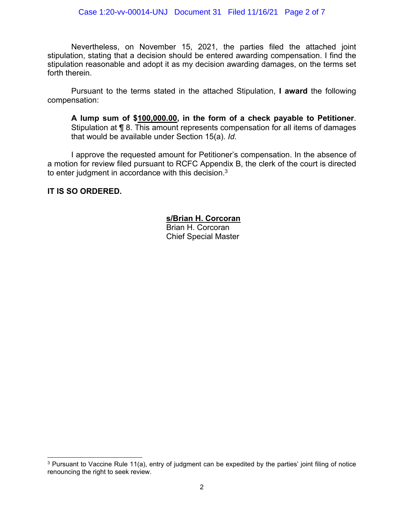Nevertheless, on November 15, 2021, the parties filed the attached joint stipulation, stating that a decision should be entered awarding compensation. I find the stipulation reasonable and adopt it as my decision awarding damages, on the terms set forth therein.

Pursuant to the terms stated in the attached Stipulation, **I award** the following compensation:

**A lump sum of \$100,000.00, in the form of a check payable to Petitioner**. Stipulation at ¶ 8. This amount represents compensation for all items of damages that would be available under Section 15(a). *Id*.

I approve the requested amount for Petitioner's compensation. In the absence of a motion for review filed pursuant to RCFC Appendix B, the clerk of the court is directed to enter judgment in accordance with this decision.<sup>3</sup>

**IT IS SO ORDERED.**

### **s/Brian H. Corcoran**

 Brian H. Corcoran Chief Special Master

<sup>&</sup>lt;sup>3</sup> Pursuant to Vaccine Rule 11(a), entry of judgment can be expedited by the parties' joint filing of notice renouncing the right to seek review.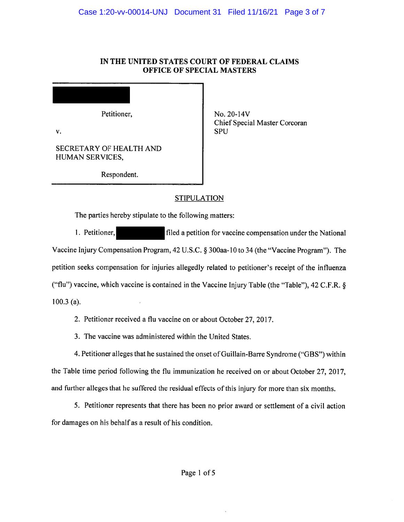#### IN THE UNITED STATES COURT OF FEDERAL CLAIMS **OFFICE OF SPECIAL MASTERS**

Petitioner.

 $\mathbf{v}$ .

No. 20-14V Chief Special Master Corcoran **SPU** 

SECRETARY OF HEALTH AND **HUMAN SERVICES,** 

Respondent.

## **STIPULATION**

The parties hereby stipulate to the following matters:

1. Petitioner, filed a petition for vaccine compensation under the National Vaccine Injury Compensation Program, 42 U.S.C. § 300aa-10 to 34 (the "Vaccine Program"). The petition seeks compensation for injuries allegedly related to petitioner's receipt of the influenza ("flu") vaccine, which vaccine is contained in the Vaccine Injury Table (the "Table"), 42 C.F.R. §  $100.3$  (a).

2. Petitioner received a flu vaccine on or about October 27, 2017.

3. The vaccine was administered within the United States.

4. Petitioner alleges that he sustained the onset of Guillain-Barre Syndrome ("GBS") within the Table time period following the flu immunization he received on or about October 27, 2017, and further alleges that he suffered the residual effects of this injury for more than six months.

5. Petitioner represents that there has been no prior award or settlement of a civil action for damages on his behalf as a result of his condition.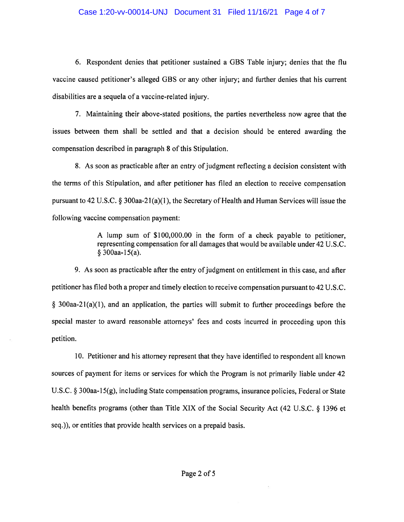#### Case 1:20-vv-00014-UNJ Document 31 Filed 11/16/21 Page 4 of 7

6. Respondent denies that petitioner sustained a GBS Table injury; denies that the flu vaccine caused petitioner's alleged GBS or any other injury; and further denies that his current disabilities are a sequela of a vaccine-related injury.

7. Maintaining their above-stated positions, the parties nevertheless now agree that the issues between them shall be settled and that a decision should be entered awarding the compensation described in paragraph 8 of this Stipulation.

8. As soon as practicable after an entry of judgment reflecting a decision consistent with the terms of this Stipulation, and after petitioner has filed an election to receive compensation pursuant to 42 U.S.C.  $\S$  300aa-21(a)(1), the Secretary of Health and Human Services will issue the following vaccine compensation payment:

> A lump sum of \$100,000.00 in the form of a check payable to petitioner, representing compensation for all damages that would be available under 42 U.S.C. § 300aa-15(a).

9. As soon as practicable after the entry of judgment on entitlement in this case, and after petitioner has filed both a proper and timely election to receive compensation pursuant to 42 U.S.C.  $\S$  300aa-21(a)(1), and an application, the parties will submit to further proceedings before the special master to award reasonable attorneys' fees and costs incurred in proceeding upon this petition.

10. Petitioner and his attorney represent that they have identified to respondent all known sources of payment for items or services for which the Program is not primarily liable under 42 U.S.C.  $\S$  300aa-15(g), including State compensation programs, insurance policies, Federal or State health benefits programs (other than Title XIX of the Social Security Act (42 U.S.C. § 1396 et seq.)), or entities that provide health services on a prepaid basis.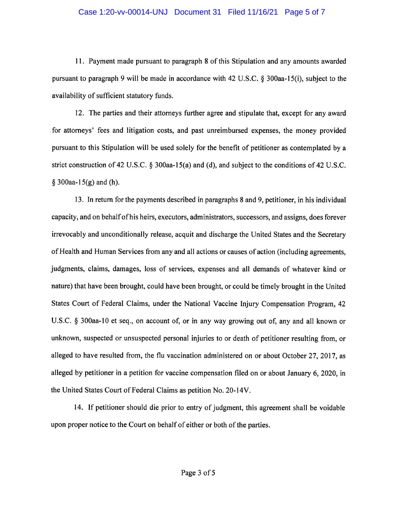#### Case 1:20-vv-00014-UNJ Document 31 Filed 11/16/21 Page 5 of 7

11. Payment made pursuant to paragraph 8 of this Stipulation and any amounts awarded pursuant to paragraph 9 will be made in accordance with 42 U.S.C. § 300aa-15(i), subject to the availability of sufficient statutory funds.

12. The parties and their attorneys further agree and stipulate that, except for any award for attorneys' fees and litigation costs, and past unreimbursed expenses, the money provided pursuant to this Stipulation will be used solely for the benefit of petitioner as contemplated by a strict construction of 42 U.S.C.  $\S$  300aa-15(a) and (d), and subject to the conditions of 42 U.S.C.  $\S$  300aa-15(g) and (h).

13. In return for the payments described in paragraphs 8 and 9, petitioner, in his individual capacity, and on behalf of his heirs, executors, administrators, successors, and assigns, does forever irrevocably and unconditionally release, acquit and discharge the United States and the Secretary of Health and Human Services from any and all actions or causes of action (including agreements, judgments, claims, damages, loss of services, expenses and all demands of whatever kind or nature) that have been brought, could have been brought, or could be timely brought in the United States Court of Federal Claims, under the National Vaccine Injury Compensation Program, 42 U.S.C. § 300aa-10 et seq., on account of, or in any way growing out of, any and all known or unknown, suspected or unsuspected personal injuries to or death of petitioner resulting from, or alleged to have resulted from, the flu vaccination administered on or about October 27, 2017, as alleged by petitioner in a petition for vaccine compensation filed on or about January 6, 2020, in the United States Court of Federal Claims as petition No. 20-14V.

14. If petitioner should die prior to entry of judgment, this agreement shall be voidable upon proper notice to the Court on behalf of either or both of the parties.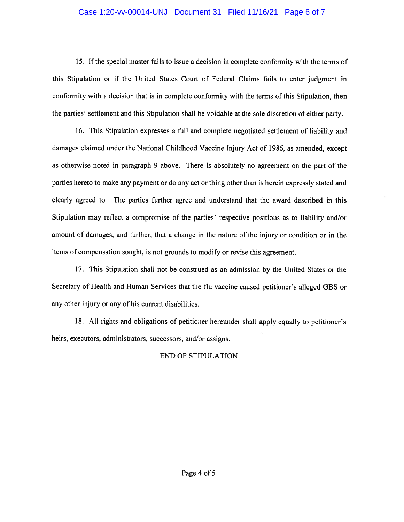#### Case 1:20-vv-00014-UNJ Document 31 Filed 11/16/21 Page 6 of 7

15. If the special master fails to issue a decision in complete conformity with the terms of this Stipulation or if the United States Court of Federal Claims fails to enter judgment in conformity with a decision that is in complete conformity with the terms of this Stipulation, then the parties' settlement and this Stipulation shall be voidable at the sole discretion of either party.

16. This Stipulation expresses a full and complete negotiated settlement of liability and damages claimed under the National Childhood Vaccine Injury Act of 1986, as amended, except as otherwise noted in paragraph 9 above. There is absolutely no agreement on the part of the parties hereto to make any payment or do any act or thing other than is herein expressly stated and clearly agreed to. The parties further agree and understand that the award described in this Stipulation may reflect a compromise of the parties' respective positions as to liability and/or amount of damages, and further, that a change in the nature of the injury or condition or in the items of compensation sought, is not grounds to modify or revise this agreement.

17. This Stipulation shall not be construed as an admission by the United States or the Secretary of Health and Human Services that the flu vaccine caused petitioner's alleged GBS or any other injury or any of his current disabilities.

18. All rights and obligations of petitioner hereunder shall apply equally to petitioner's heirs, executors, administrators, successors, and/or assigns.

#### **END OF STIPULATION**